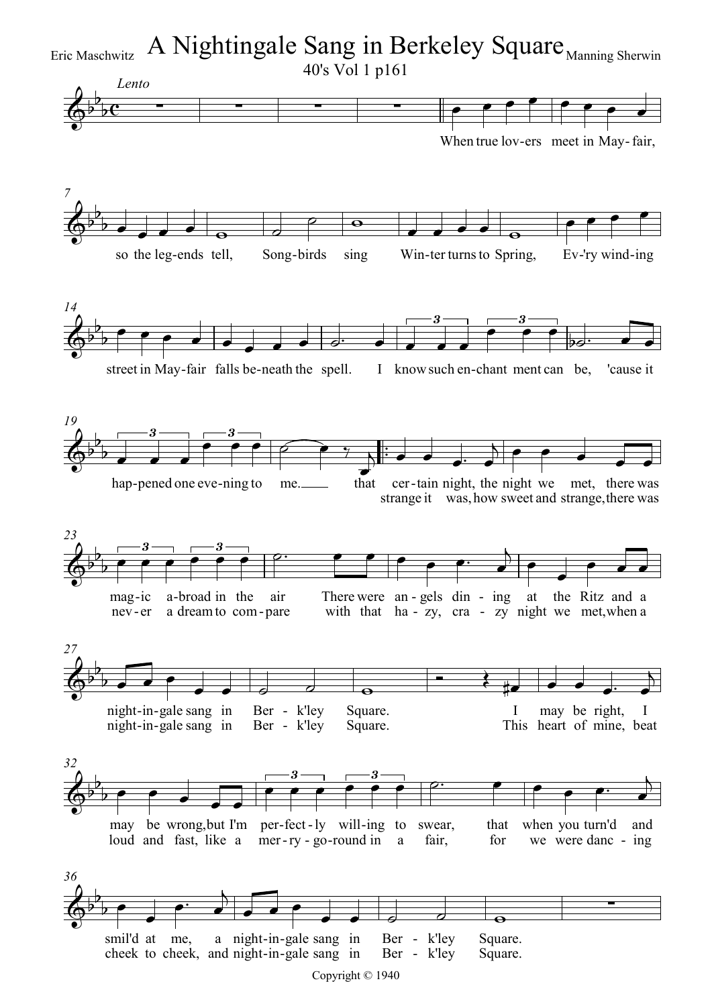

Copyright © 1940